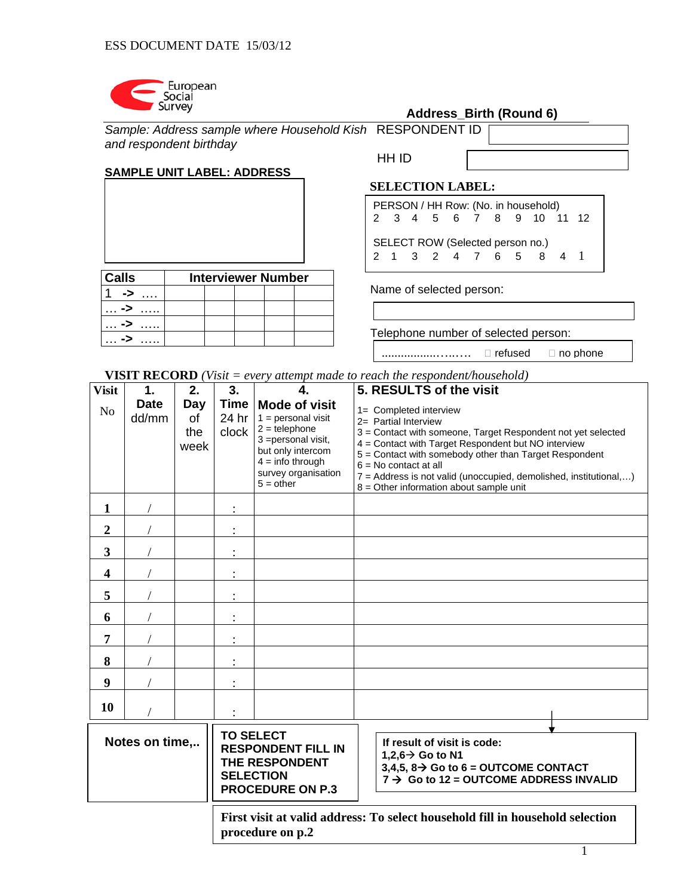

… **->** …..

# **Address\_Birth (Round 6)**

| Sample: Address sample where Household Kish RESPONDENT ID |       |  |
|-----------------------------------------------------------|-------|--|
| and respondent birthday                                   |       |  |
|                                                           | HH ID |  |

## **SAMPLE UNIT LABEL: ADDRESS**

| <b>Calls</b> | <b>Interviewer Number</b> |  |  |
|--------------|---------------------------|--|--|
|              |                           |  |  |
| -5           |                           |  |  |
|              |                           |  |  |

 **SELECTION LABEL:** 

PERSON / HH Row: (No. in household) 2 3 4 5 6 7 8 9 10 11 12 SELECT ROW (Selected person no.) 2 1 3 2 4 7 6 5 8 4 1

Name of selected person:

Telephone number of selected person:

.................…..…. refused no phone

**VISIT RECORD** *(Visit = every attempt made to reach the respondent/household)* 

| <b>Visit</b>                                                                                                                     | 1.                   | 2.                       | 3.                                                                                                                                                                    | 4.                                                                                                                                                                      | 5. RESULTS of the visit                                                                                                                                                                                                                                                                                                                                                      |
|----------------------------------------------------------------------------------------------------------------------------------|----------------------|--------------------------|-----------------------------------------------------------------------------------------------------------------------------------------------------------------------|-------------------------------------------------------------------------------------------------------------------------------------------------------------------------|------------------------------------------------------------------------------------------------------------------------------------------------------------------------------------------------------------------------------------------------------------------------------------------------------------------------------------------------------------------------------|
| N <sub>o</sub>                                                                                                                   | <b>Date</b><br>dd/mm | Day<br>οf<br>the<br>week | <b>Time</b><br>24 hr<br>clock                                                                                                                                         | <b>Mode of visit</b><br>$1 =$ personal visit<br>$2 =$ telephone<br>3 = personal visit,<br>but only intercom<br>$4 =$ info through<br>survey organisation<br>$5 = other$ | 1= Completed interview<br>2= Partial Interview<br>3 = Contact with someone, Target Respondent not yet selected<br>4 = Contact with Target Respondent but NO interview<br>5 = Contact with somebody other than Target Respondent<br>$6 = No contact at all$<br>7 = Address is not valid (unoccupied, demolished, institutional,)<br>$8 =$ Other information about sample unit |
| 1                                                                                                                                |                      |                          |                                                                                                                                                                       |                                                                                                                                                                         |                                                                                                                                                                                                                                                                                                                                                                              |
| $\boldsymbol{2}$                                                                                                                 |                      |                          |                                                                                                                                                                       |                                                                                                                                                                         |                                                                                                                                                                                                                                                                                                                                                                              |
| 3                                                                                                                                |                      |                          |                                                                                                                                                                       |                                                                                                                                                                         |                                                                                                                                                                                                                                                                                                                                                                              |
| $\overline{\mathbf{4}}$                                                                                                          |                      |                          |                                                                                                                                                                       |                                                                                                                                                                         |                                                                                                                                                                                                                                                                                                                                                                              |
| 5                                                                                                                                |                      |                          |                                                                                                                                                                       |                                                                                                                                                                         |                                                                                                                                                                                                                                                                                                                                                                              |
| 6                                                                                                                                |                      |                          |                                                                                                                                                                       |                                                                                                                                                                         |                                                                                                                                                                                                                                                                                                                                                                              |
| 7                                                                                                                                |                      |                          |                                                                                                                                                                       |                                                                                                                                                                         |                                                                                                                                                                                                                                                                                                                                                                              |
| 8                                                                                                                                |                      |                          |                                                                                                                                                                       |                                                                                                                                                                         |                                                                                                                                                                                                                                                                                                                                                                              |
| 9                                                                                                                                |                      |                          |                                                                                                                                                                       |                                                                                                                                                                         |                                                                                                                                                                                                                                                                                                                                                                              |
| 10                                                                                                                               |                      |                          |                                                                                                                                                                       |                                                                                                                                                                         |                                                                                                                                                                                                                                                                                                                                                                              |
| <b>TO SELECT</b><br>Notes on time,<br><b>RESPONDENT FILL IN</b><br>THE RESPONDENT<br><b>SELECTION</b><br><b>PROCEDURE ON P.3</b> |                      |                          | If result of visit is code:<br>1,2,6 $\rightarrow$ Go to N1<br>3,4,5, 8 $\rightarrow$ Go to 6 = OUTCOME CONTACT<br>$7 \rightarrow$ Go to 12 = OUTCOME ADDRESS INVALID |                                                                                                                                                                         |                                                                                                                                                                                                                                                                                                                                                                              |

**First visit at valid address: To select household fill in household selection procedure on p.2**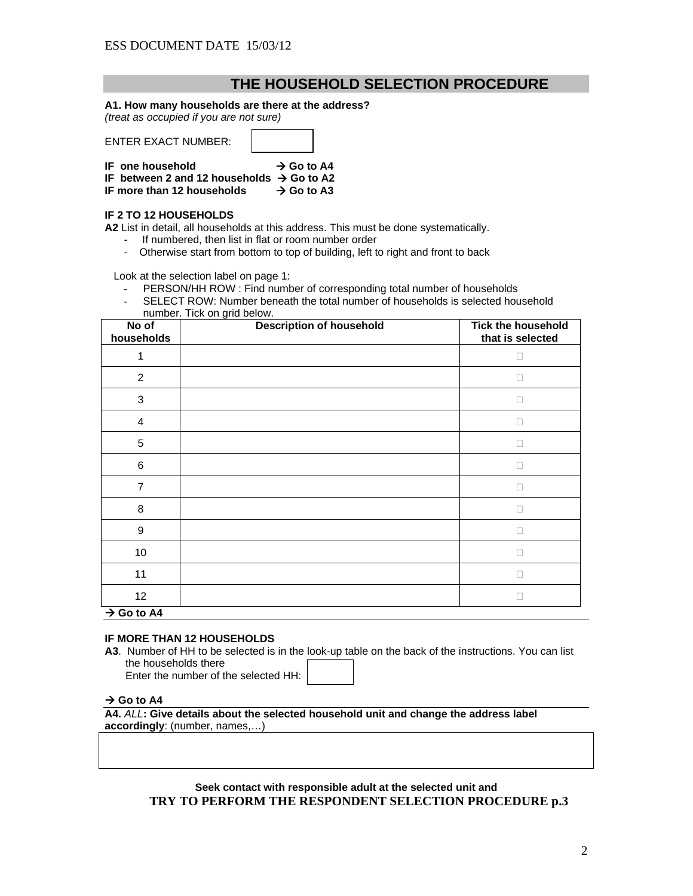# **THE HOUSEHOLD SELECTION PROCEDURE**

#### **A1. How many households are there at the address?**

*(treat as occupied if you are not sure)* 

ENTER EXACT NUMBER:

| IF one household                                      | $\rightarrow$ Go to A4 |
|-------------------------------------------------------|------------------------|
| IF between 2 and 12 households $\rightarrow$ Go to A2 |                        |
| IF more than 12 households                            | $\rightarrow$ Go to A3 |

#### **IF 2 TO 12 HOUSEHOLDS**

**A2** List in detail, all households at this address. This must be done systematically.

- If numbered, then list in flat or room number order
- Otherwise start from bottom to top of building, left to right and front to back

Look at the selection label on page 1:

- PERSON/HH ROW : Find number of corresponding total number of households
- SELECT ROW: Number beneath the total number of households is selected household number. Tick on grid below.

| No of<br>households       | <b>Description of household</b> | <b>Tick the household</b><br>that is selected |
|---------------------------|---------------------------------|-----------------------------------------------|
| 1                         |                                 | о                                             |
| $\overline{2}$            |                                 | П                                             |
| $\ensuremath{\mathsf{3}}$ |                                 | п                                             |
| 4                         |                                 | п                                             |
| 5                         |                                 | П                                             |
| 6                         |                                 | П                                             |
| $\overline{7}$            |                                 | п                                             |
| 8                         |                                 | O                                             |
| $\boldsymbol{9}$          |                                 | П                                             |
| 10                        |                                 | п                                             |
| 11                        |                                 | П                                             |
| 12                        |                                 | □                                             |
| $\rightarrow$ Go to A4    |                                 |                                               |

#### **IF MORE THAN 12 HOUSEHOLDS**

**A3**. Number of HH to be selected is in the look-up table on the back of the instructions. You can list the households there Enter the number of the selected HH:

 $\rightarrow$  Go to A4

**A4.** *ALL***: Give details about the selected household unit and change the address label accordingly**: (number, names,…)

**Seek contact with responsible adult at the selected unit and TRY TO PERFORM THE RESPONDENT SELECTION PROCEDURE p.3**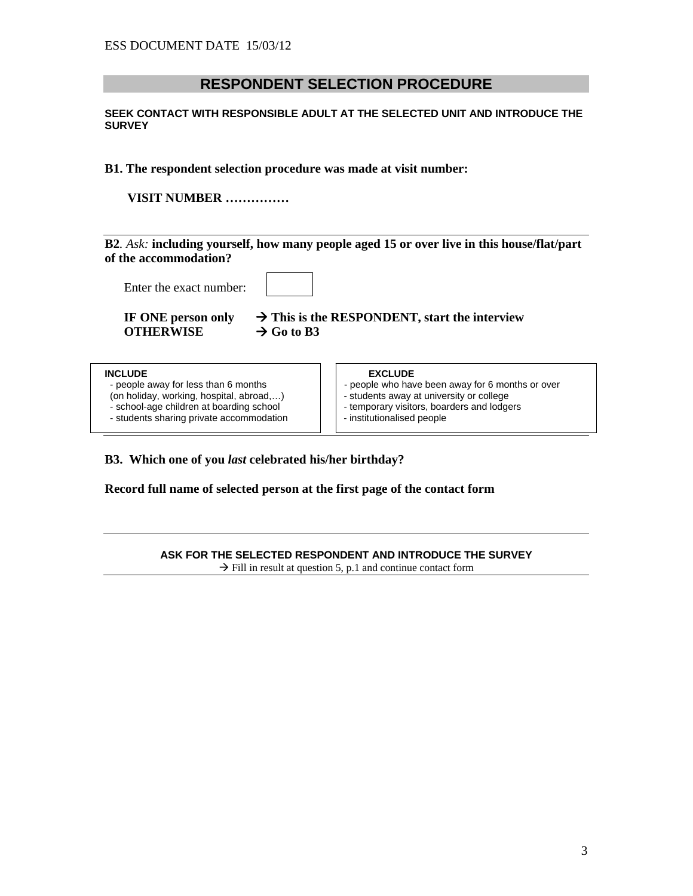# **RESPONDENT SELECTION PROCEDURE**

#### **SEEK CONTACT WITH RESPONSIBLE ADULT AT THE SELECTED UNIT AND INTRODUCE THE SURVEY**

#### **B1. The respondent selection procedure was made at visit number:**

**VISIT NUMBER ……………** 

**B2***. Ask:* **including yourself, how many people aged 15 or over live in this house/flat/part of the accommodation?**

Enter the exact number:

**OTHERWISE**  $\rightarrow$  Go to B3

**IF ONE person only**  $\rightarrow$  **This is the RESPONDENT, start the interview** 

- people away for less than 6 months people who have been away for 6 months or over<br>(on holiday, working, hospital, abroad,...)
- $($ on holiday, working, hospital, abroad,... $)$  school-age children at boarding school
- 
- students sharing private accommodation

# **INCLUDE EXCLUDE**

- 
- 
- temporary visitors, boarders and lodgers<br>- institutionalised people
- 

### **B3. Which one of you** *last* **celebrated his/her birthday?**

**Record full name of selected person at the first page of the contact form** 

#### **ASK FOR THE SELECTED RESPONDENT AND INTRODUCE THE SURVEY**

 $\rightarrow$  Fill in result at question 5, p.1 and continue contact form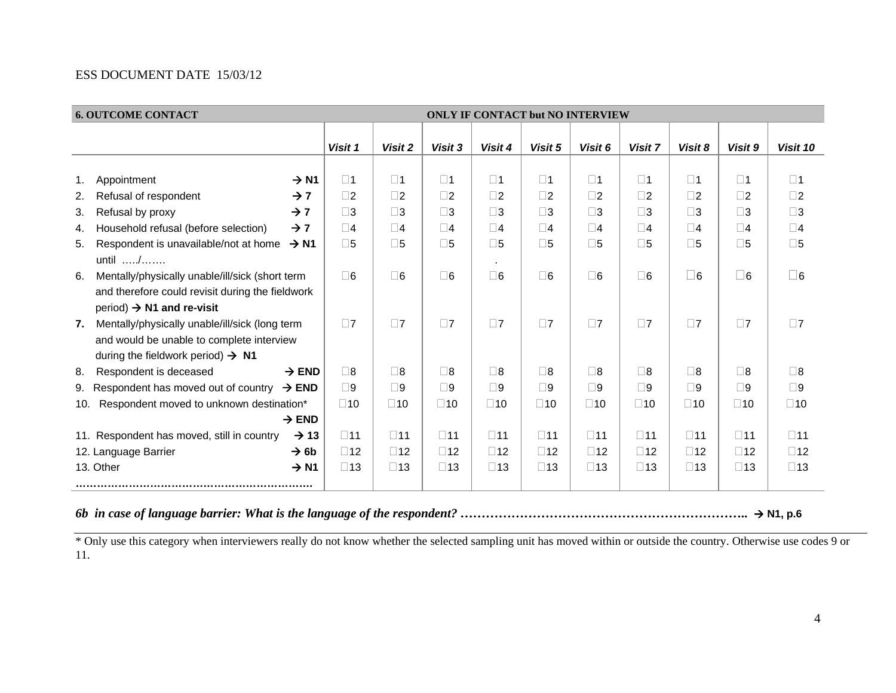|                 | <b>6. OUTCOME CONTACT</b>                                                                                                                                                                            |                                              |                                              |                                              | <b>ONLY IF CONTACT but NO INTERVIEW</b>      |                                              |                                              |                                              |                                              |                                              |                                              |
|-----------------|------------------------------------------------------------------------------------------------------------------------------------------------------------------------------------------------------|----------------------------------------------|----------------------------------------------|----------------------------------------------|----------------------------------------------|----------------------------------------------|----------------------------------------------|----------------------------------------------|----------------------------------------------|----------------------------------------------|----------------------------------------------|
|                 |                                                                                                                                                                                                      | Visit 1                                      | Visit 2                                      | Visit 3                                      | Visit 4                                      | Visit 5                                      | Visit 6                                      | Visit 7                                      | Visit 8                                      | Visit 9                                      | Visit 10                                     |
| 1.<br>2.        | Appointment<br>$\rightarrow$ N1<br>Refusal of respondent<br>$\rightarrow$ 7                                                                                                                          | $\square$ 1<br>$\square$ 2                   | $\square$ 1<br>$\square$ 2                   | $\square$ 1<br>$\square$                     | $\square$ 1<br>$\square$ 2                   | $\square$ 1<br>$\square$                     | $\square$ 1<br>$\square$ 2                   | $\square$ 1<br>$\square$ 2                   | $\square$ 1<br>$\square$ 2                   | $\square$ 1<br>$\square$ 2                   | $\square$ 1<br>$\square$                     |
| 3.<br>4.<br>5.  | $\rightarrow$ 7<br>Refusal by proxy<br>Household refusal (before selection)<br>$\rightarrow$ 7<br>Respondent is unavailable/not at home<br>$\rightarrow$ N1                                          | $\square$ 3<br>$\square$ 4<br>$\square$ 5    | $\square$ 3<br>$\square$ 4<br>$\square$ 5    | $\square$ 3<br>$\Box$ 4<br>$\square$ 5       | $\square$ 3<br>$\square$ 4<br>$\square$ 5    | $\square$ 3<br>$\square$ 4<br>$\square$ 5    | $\square$ 3<br>$\square$ 4<br>$\square$ 5    | $\square$ 3<br>$\square$ 4<br>$\square$ 5    | $\square$ 3<br>$\square$ 4<br>$\square$ 5    | $\square$ 3<br>$\square$ 4<br>$\square$ 5    | $\square$ 3<br>$\square$ 4<br>$\square$ 5    |
| 6.              | until $\ldots$ / $\ldots$<br>Mentally/physically unable/ill/sick (short term<br>and therefore could revisit during the fieldwork                                                                     | $\Box$ 6                                     | $\square$ 6                                  | $\Box$ 6                                     | $\Box$ 6                                     | $\square$ 6                                  | $\square$ 6                                  | $\square$ 6                                  | $\square$ 6                                  | $\square$ 6                                  | $\square$ 6                                  |
| 7.              | period) $\rightarrow$ N1 and re-visit<br>Mentally/physically unable/ill/sick (long term<br>and would be unable to complete interview                                                                 | $\Box$ 7                                     | $\Box$ 7                                     | $\square$                                    | $\square$ 7                                  | $\Box$ 7                                     | $\Box$ 7                                     | $\square$ 7                                  | $\Box$ 7                                     | $\square$ 7                                  | $\square$ 7                                  |
| 8.<br>9.<br>10. | during the fieldwork period) $\rightarrow$ N1<br>Respondent is deceased<br>$\rightarrow$ END<br>Respondent has moved out of country<br>$\rightarrow$ END<br>Respondent moved to unknown destination* | $\Box$ 8<br>$\Box$ 9<br>$\square$ 10         | $\Box$ 8<br>$\square$ 9<br>$\square$ 10      | $\Box$ 8<br>$\square$<br>$\square$ 10        | $\Box$ 8<br>$\Box$ 9<br>$\square$ 10         | $\square$ 8<br>$\square$ 9<br>$\square$ 10   | $\square$<br>$\square$ 9<br>$\square$ 10     | $\square$ 8<br>$\square$<br>$\square$ 10     | $\square$ 8<br>$\square$<br>$\square$ 10     | $\square$ 8<br>$\square$ 9<br>$\square$ 10   | $\square$ 8<br>$\square$ 9<br>$\square$ 10   |
|                 | $\rightarrow$ END                                                                                                                                                                                    |                                              |                                              |                                              |                                              |                                              |                                              |                                              |                                              |                                              |                                              |
|                 | $\rightarrow$ 13<br>11. Respondent has moved, still in country<br>$\rightarrow$ 6b<br>12. Language Barrier<br>13. Other<br>$\rightarrow$ N1                                                          | $\square$ 11<br>$\square$ 12<br>$\square$ 13 | $\square$ 11<br>$\square$ 12<br>$\square$ 13 | $\square$ 11<br>$\square$ 12<br>$\square$ 13 | $\square$ 11<br>$\square$ 12<br>$\square$ 13 | $\square$ 11<br>$\square$ 12<br>$\square$ 13 | $\square$ 11<br>$\square$ 12<br>$\square$ 13 | $\square$ 11<br>$\square$ 12<br>$\square$ 13 | $\square$ 11<br>$\square$ 12<br>$\square$ 13 | $\square$ 11<br>$\square$ 12<br>$\square$ 13 | $\square$ 11<br>$\square$ 12<br>$\square$ 13 |

*6b in case of language barrier: What is the language of the respondent? …………………………………………………………..*  **N1, p.6** 

\* Only use this category when interviewers really do not know whether the selected sampling unit has moved within or outside the country. Otherwise use codes 9 or 11.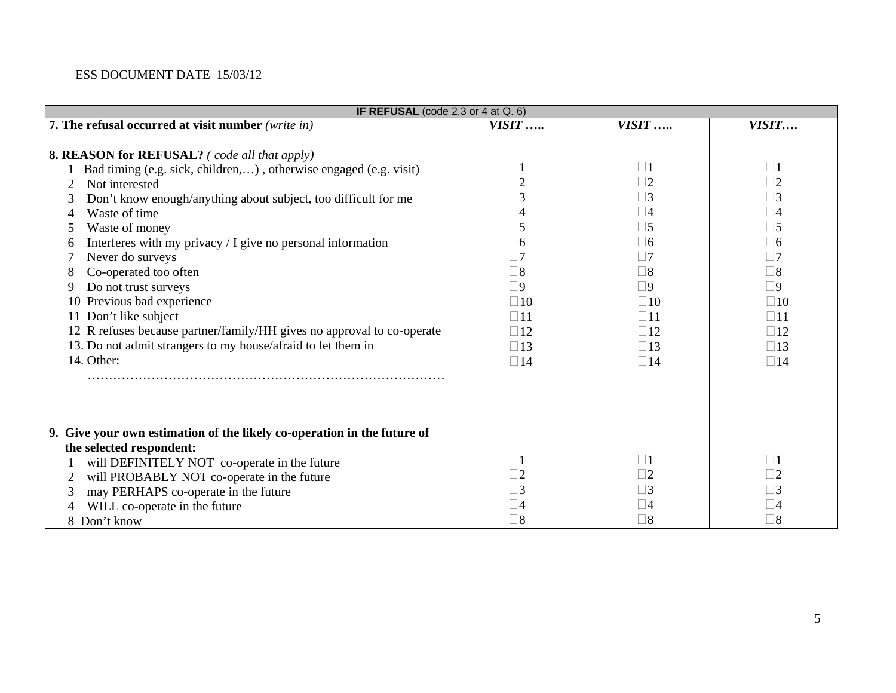| IF REFUSAL (code $2,3$ or $4$ at $Q.6$ )                                                                                                                                                                                                                                                                                                                                                                                                                                                                                                                                                                               |                                                                                                                                                                                                    |                                                                                                                                                                                                   |                                                                                                                                                                                                    |
|------------------------------------------------------------------------------------------------------------------------------------------------------------------------------------------------------------------------------------------------------------------------------------------------------------------------------------------------------------------------------------------------------------------------------------------------------------------------------------------------------------------------------------------------------------------------------------------------------------------------|----------------------------------------------------------------------------------------------------------------------------------------------------------------------------------------------------|---------------------------------------------------------------------------------------------------------------------------------------------------------------------------------------------------|----------------------------------------------------------------------------------------------------------------------------------------------------------------------------------------------------|
| 7. The refusal occurred at visit number (write in)                                                                                                                                                                                                                                                                                                                                                                                                                                                                                                                                                                     | $VISIT$                                                                                                                                                                                            | $VISIT$                                                                                                                                                                                           | VISIT                                                                                                                                                                                              |
| <b>8. REASON for REFUSAL?</b> (code all that apply)<br>Bad timing (e.g. sick, children,), otherwise engaged (e.g. visit)<br>Not interested<br>Don't know enough/anything about subject, too difficult for me<br>Waste of time<br>4<br>Waste of money<br>Interferes with my privacy / I give no personal information<br>6<br>Never do surveys<br>Co-operated too often<br>8<br>Do not trust surveys<br>9<br>10 Previous bad experience<br>11 Don't like subject<br>12 R refuses because partner/family/HH gives no approval to co-operate<br>13. Do not admit strangers to my house/afraid to let them in<br>14. Other: | $\Box$ 1<br>$\Box$ 2<br>$\square$ 3<br>$\square 4$<br>$\square$ 5<br>$\square$ 6<br>$\Box$ 7<br>$\square$<br>$\Box$ 9<br>$\Box$ 10<br>$\square$ 11<br>$\square$ 12<br>$\square$ 13<br>$\square$ 14 | $\Box$ 1<br>$\square$ 2<br>$\square$ 3<br>$\square$ 4<br>$\square$ 5<br>$\Box 6$<br>$\Box$ 7<br>$\square 8$<br>$\Box$ 9<br>$\Box$ 10<br>$\square$ 11<br>$\square$ 12<br>$\square$ 13<br>$\Box$ 14 | $\Box$ 1<br>$\Box$ 2<br>$\square$ 3<br>$\square$ 4<br>$\square$ 5<br>$\Box$ 6<br>$\Box$ 7<br>$\square$ 8<br>$\square$<br>$\square$ 10<br>$\square$ 11<br>$\square$ 12<br>$\square$ 13<br>$\Box$ 14 |
| 9. Give your own estimation of the likely co-operation in the future of<br>the selected respondent:<br>will DEFINITELY NOT co-operate in the future<br>will PROBABLY NOT co-operate in the future<br>2<br>may PERHAPS co-operate in the future<br>3<br>WILL co-operate in the future<br>8 Don't know                                                                                                                                                                                                                                                                                                                   | $\Box$ 1<br>$\square$ 2<br>$\Box$ 3<br>$\square 4$<br>$\square$                                                                                                                                    | $\Box$ 1<br>$\Box$ 2<br>$\square$ 3<br>$\square 4$<br>$\square 8$                                                                                                                                 | $\Box$ 1<br>$\Box$ 2<br>$\square$ 3<br>$\square 4$<br>$\square$ 8                                                                                                                                  |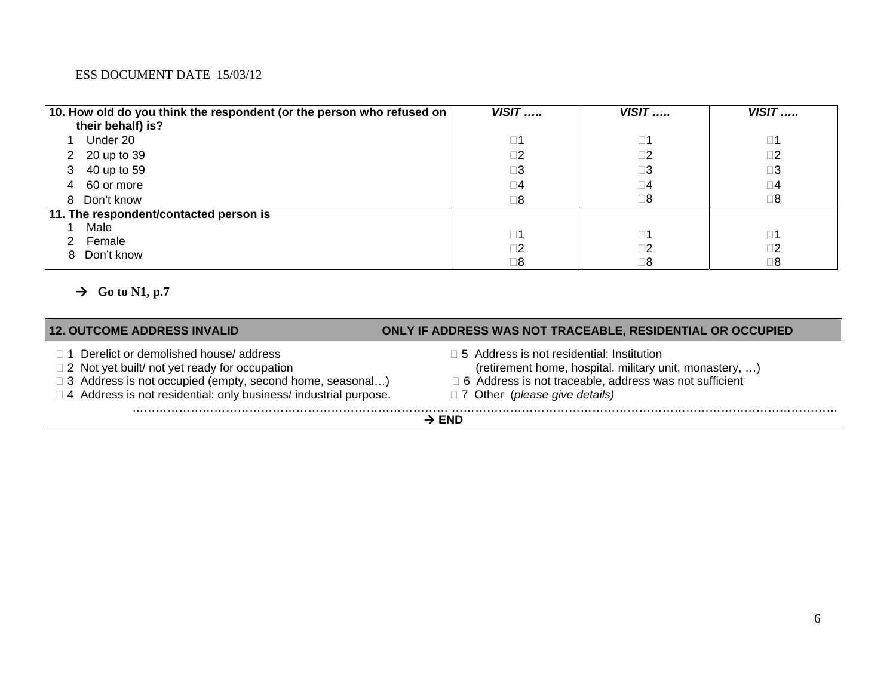| 10. How old do you think the respondent (or the person who refused on | $VISIT$     | $VISIT$     | $VISIT$     |
|-----------------------------------------------------------------------|-------------|-------------|-------------|
| their behalf) is?                                                     |             |             |             |
| Under 20                                                              | $\square$ 1 | $\square$ 1 | $\square$ 1 |
| 2 20 up to 39                                                         | $\square$ 2 | $\square$   | $\square$ 2 |
| 40 up to 59<br>3                                                      | $\square 3$ | $\square 3$ | $\square 3$ |
| 60 or more<br>4                                                       | $\Box$ 4    | $\square$   | $\square 4$ |
| Don't know<br>8                                                       | $\square$ 8 | $\square 8$ | $\square$ 8 |
| 11. The respondent/contacted person is                                |             |             |             |
| Male                                                                  | $\square$ 1 | $\square$ 1 | $\square$ 1 |
| Female                                                                |             |             |             |
| Don't know<br>8.                                                      | $\Box 2$    | $\square$ 2 | $\square$   |
|                                                                       | $\square 8$ | $\square$ 8 | $\square 8$ |

# $\rightarrow$  Go to N1, p.7

| <b>12. OUTCOME ADDRESS INVALID</b>                                                                                                                                                                                                              | ONLY IF ADDRESS WAS NOT TRACEABLE, RESIDENTIAL OR OCCUPIED                                                                                                                                                      |  |  |
|-------------------------------------------------------------------------------------------------------------------------------------------------------------------------------------------------------------------------------------------------|-----------------------------------------------------------------------------------------------------------------------------------------------------------------------------------------------------------------|--|--|
| $\Box$ 1 Derelict or demolished house/ address<br>$\Box$ 2 Not yet built/ not yet ready for occupation<br>$\Box$ 3 Address is not occupied (empty, second home, seasonal)<br>□ 4 Address is not residential: only business/ industrial purpose. | $\Box$ 5 Address is not residential: Institution<br>(retirement home, hospital, military unit, monastery, )<br>□ 6 Address is not traceable, address was not sufficient<br>$\Box$ 7 Other (please give details) |  |  |
| $\rightarrow$ END                                                                                                                                                                                                                               |                                                                                                                                                                                                                 |  |  |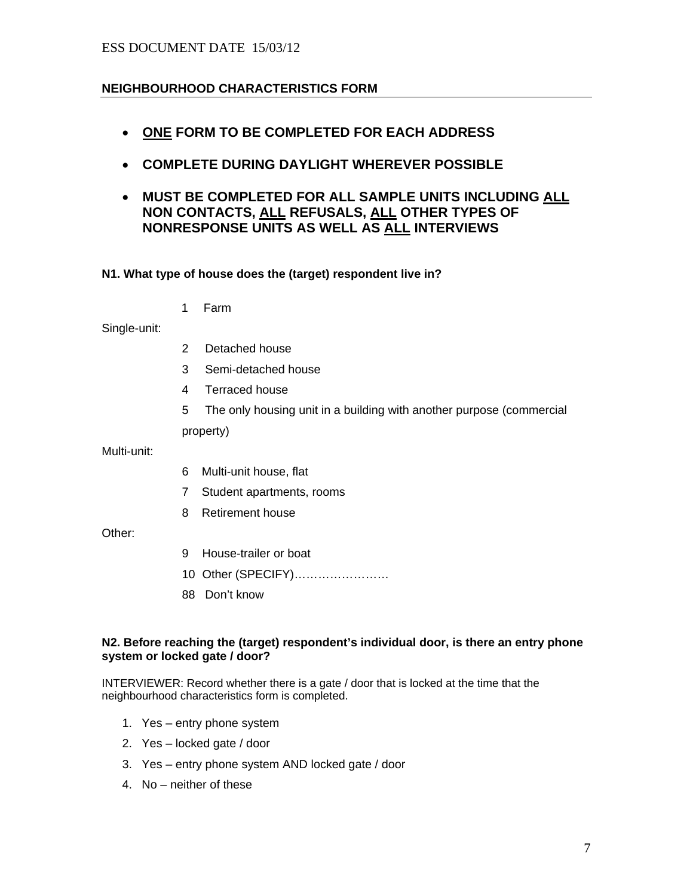# **NEIGHBOURHOOD CHARACTERISTICS FORM**

- **ONE FORM TO BE COMPLETED FOR EACH ADDRESS**
- **COMPLETE DURING DAYLIGHT WHEREVER POSSIBLE**
- **MUST BE COMPLETED FOR ALL SAMPLE UNITS INCLUDING ALL NON CONTACTS, ALL REFUSALS, ALL OTHER TYPES OF NONRESPONSE UNITS AS WELL AS ALL INTERVIEWS**

#### **N1. What type of house does the (target) respondent live in?**

1 Farm

Single-unit:

- 2 Detached house
- 3 Semi-detached house
- 4 Terraced house
- 5 The only housing unit in a building with another purpose (commercial property)

Multi-unit:

- 6 Multi-unit house, flat
- 7 Student apartments, rooms
- 8 Retirement house

Other:

- 9 House-trailer or boat
- 10 Other (SPECIFY)……………………
- 88 Don't know

#### **N2. Before reaching the (target) respondent's individual door, is there an entry phone system or locked gate / door?**

INTERVIEWER: Record whether there is a gate / door that is locked at the time that the neighbourhood characteristics form is completed.

- 1. Yes entry phone system
- 2. Yes locked gate / door
- 3. Yes entry phone system AND locked gate / door
- 4. No neither of these